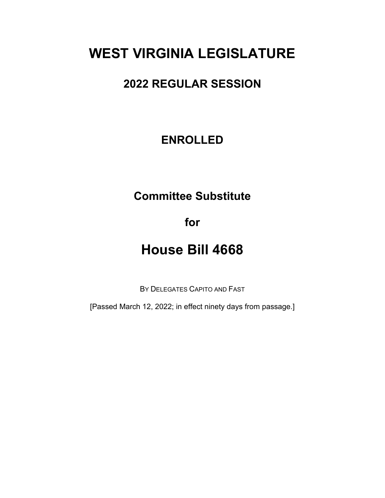## **WEST VIRGINIA LEGISLATURE**

### **2022 REGULAR SESSION**

### **ENROLLED**

## **Committee Substitute**

**for**

# **House Bill 4668**

BY DELEGATES CAPITO AND FAST

[Passed March 12, 2022; in effect ninety days from passage.]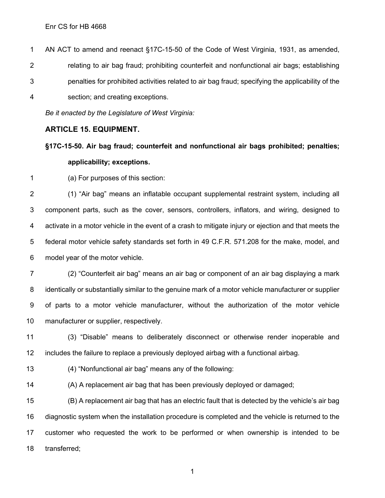Enr CS for HB 4668

 AN ACT to amend and reenact §17C-15-50 of the Code of West Virginia, 1931, as amended, relating to air bag fraud; prohibiting counterfeit and nonfunctional air bags; establishing penalties for prohibited activities related to air bag fraud; specifying the applicability of the section; and creating exceptions.

*Be it enacted by the Legislature of West Virginia:*

#### **ARTICLE 15. EQUIPMENT.**

**§17C-15-50. Air bag fraud; counterfeit and nonfunctional air bags prohibited; penalties; applicability; exceptions.**

(a) For purposes of this section:

 (1) "Air bag" means an inflatable occupant supplemental restraint system, including all component parts, such as the cover, sensors, controllers, inflators, and wiring, designed to activate in a motor vehicle in the event of a crash to mitigate injury or ejection and that meets the federal motor vehicle safety standards set forth in 49 C.F.R. 571.208 for the make, model, and model year of the motor vehicle.

 (2) "Counterfeit air bag" means an air bag or component of an air bag displaying a mark identically or substantially similar to the genuine mark of a motor vehicle manufacturer or supplier of parts to a motor vehicle manufacturer, without the authorization of the motor vehicle manufacturer or supplier, respectively.

 (3) "Disable" means to deliberately disconnect or otherwise render inoperable and includes the failure to replace a previously deployed airbag with a functional airbag.

(4) "Nonfunctional air bag" means any of the following:

(A) A replacement air bag that has been previously deployed or damaged;

 (B) A replacement air bag that has an electric fault that is detected by the vehicle's air bag diagnostic system when the installation procedure is completed and the vehicle is returned to the customer who requested the work to be performed or when ownership is intended to be transferred;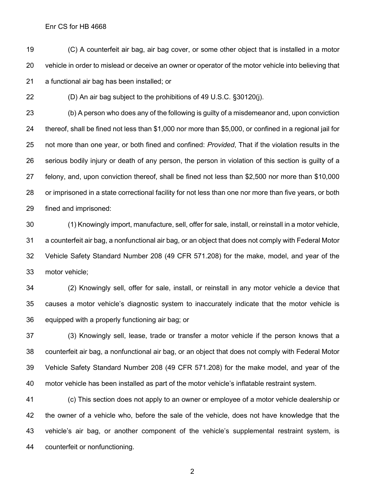#### Enr CS for HB 4668

 (C) A counterfeit air bag, air bag cover, or some other object that is installed in a motor vehicle in order to mislead or deceive an owner or operator of the motor vehicle into believing that a functional air bag has been installed; or

(D) An air bag subject to the prohibitions of 49 U.S.C. §30120(j).

 (b) A person who does any of the following is guilty of a misdemeanor and, upon conviction thereof, shall be fined not less than \$1,000 nor more than \$5,000, or confined in a regional jail for not more than one year, or both fined and confined: *Provided*, That if the violation results in the serious bodily injury or death of any person, the person in violation of this section is guilty of a felony, and, upon conviction thereof, shall be fined not less than \$2,500 nor more than \$10,000 or imprisoned in a state correctional facility for not less than one nor more than five years, or both fined and imprisoned:

 (1) Knowingly import, manufacture, sell, offer for sale, install, or reinstall in a motor vehicle, a counterfeit air bag, a nonfunctional air bag, or an object that does not comply with Federal Motor Vehicle Safety Standard Number 208 (49 CFR 571.208) for the make, model, and year of the motor vehicle;

 (2) Knowingly sell, offer for sale, install, or reinstall in any motor vehicle a device that causes a motor vehicle's diagnostic system to inaccurately indicate that the motor vehicle is equipped with a properly functioning air bag; or

 (3) Knowingly sell, lease, trade or transfer a motor vehicle if the person knows that a counterfeit air bag, a nonfunctional air bag, or an object that does not comply with Federal Motor Vehicle Safety Standard Number 208 (49 CFR 571.208) for the make model, and year of the motor vehicle has been installed as part of the motor vehicle's inflatable restraint system.

 (c) This section does not apply to an owner or employee of a motor vehicle dealership or the owner of a vehicle who, before the sale of the vehicle, does not have knowledge that the vehicle's air bag, or another component of the vehicle's supplemental restraint system, is counterfeit or nonfunctioning.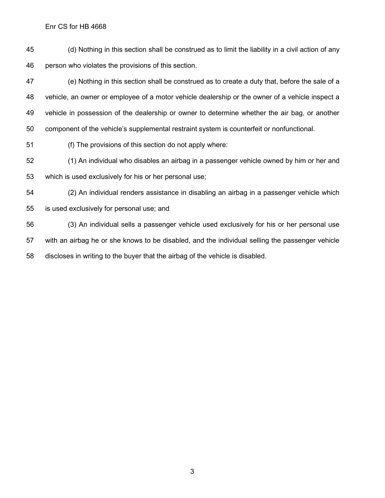(d) Nothing in this section shall be construed as to limit the liability in a civil action of any person who violates the provisions of this section.

 (e) Nothing in this section shall be construed as to create a duty that, before the sale of a vehicle, an owner or employee of a motor vehicle dealership or the owner of a vehicle inspect a vehicle in possession of the dealership or owner to determine whether the air bag, or another component of the vehicle's supplemental restraint system is counterfeit or nonfunctional.

(f) The provisions of this section do not apply where:

 (1) An individual who disables an airbag in a passenger vehicle owned by him or her and which is used exclusively for his or her personal use;

 (2) An individual renders assistance in disabling an airbag in a passenger vehicle which is used exclusively for personal use; and

 (3) An individual sells a passenger vehicle used exclusively for his or her personal use with an airbag he or she knows to be disabled, and the individual selling the passenger vehicle discloses in writing to the buyer that the airbag of the vehicle is disabled.